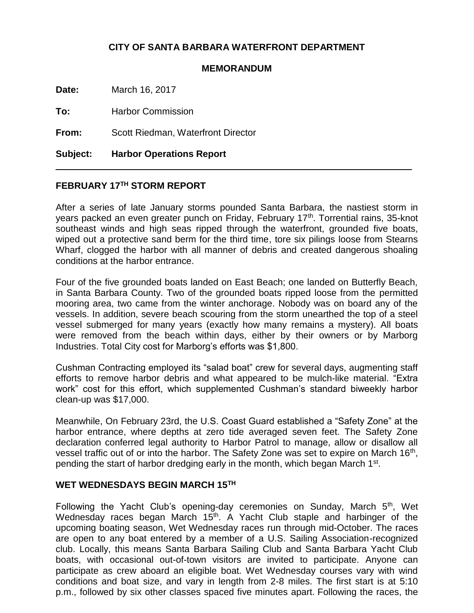# **CITY OF SANTA BARBARA WATERFRONT DEPARTMENT**

#### **MEMORANDUM**

**Date:** March 16, 2017

**To:** Harbor Commission

**From:** Scott Riedman, Waterfront Director

**Subject: Harbor Operations Report**

## **FEBRUARY 17TH STORM REPORT**

After a series of late January storms pounded Santa Barbara, the nastiest storm in years packed an even greater punch on Friday, February 17<sup>th</sup>. Torrential rains, 35-knot southeast winds and high seas ripped through the waterfront, grounded five boats, wiped out a protective sand berm for the third time, tore six pilings loose from Stearns Wharf, clogged the harbor with all manner of debris and created dangerous shoaling conditions at the harbor entrance.

Four of the five grounded boats landed on East Beach; one landed on Butterfly Beach, in Santa Barbara County. Two of the grounded boats ripped loose from the permitted mooring area, two came from the winter anchorage. Nobody was on board any of the vessels. In addition, severe beach scouring from the storm unearthed the top of a steel vessel submerged for many years (exactly how many remains a mystery). All boats were removed from the beach within days, either by their owners or by Marborg Industries. Total City cost for Marborg's efforts was \$1,800.

Cushman Contracting employed its "salad boat" crew for several days, augmenting staff efforts to remove harbor debris and what appeared to be mulch-like material. "Extra work" cost for this effort, which supplemented Cushman's standard biweekly harbor clean-up was \$17,000.

Meanwhile, On February 23rd, the U.S. Coast Guard established a "Safety Zone" at the harbor entrance, where depths at zero tide averaged seven feet. The Safety Zone declaration conferred legal authority to Harbor Patrol to manage, allow or disallow all vessel traffic out of or into the harbor. The Safety Zone was set to expire on March 16<sup>th</sup>, pending the start of harbor dredging early in the month, which began March 1<sup>st</sup>.

#### **WET WEDNESDAYS BEGIN MARCH 15TH**

Following the Yacht Club's opening-day ceremonies on Sunday, March 5<sup>th</sup>, Wet Wednesday races began March 15<sup>th</sup>. A Yacht Club staple and harbinger of the upcoming boating season, Wet Wednesday races run through mid-October. The races are open to any boat entered by a member of a U.S. Sailing Association-recognized club. Locally, this means Santa Barbara Sailing Club and Santa Barbara Yacht Club boats, with occasional out-of-town visitors are invited to participate. Anyone can participate as crew aboard an eligible boat. Wet Wednesday courses vary with wind conditions and boat size, and vary in length from 2-8 miles. The first start is at 5:10 p.m., followed by six other classes spaced five minutes apart. Following the races, the